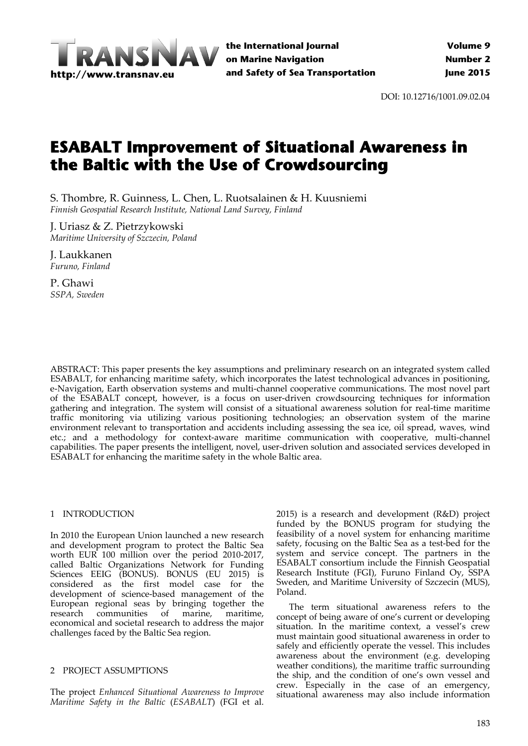

DOI: 10.12716/1001.09.02.04

# **ESABALT Improvement of Situational Awareness in the Baltic with the Use of Crowdsourcing**

S. Thombre, R. Guinness, L. Chen, L. Ruotsalainen & H. Kuusniemi *Finnish Geospatial Research Institute, National Land Survey, Finland*

J. Uriasz & Z. Pietrzykowski *Maritime University of Szczecin, Poland*

J. Laukkanen *Furuno, Finland*

P. Ghawi *SSPA, Sweden*

ABSTRACT: This paper presents the key assumptions and preliminary research on an integrated system called ESABALT, for enhancing maritime safety, which incorporates the latest technological advances in positioning, e-Navigation, Earth observation systems and multi-channel cooperative communications. The most novel part of the ESABALT concept, however, is a focus on user-driven crowdsourcing techniques for information gathering and integration. The system will consist of a situational awareness solution for real‐time maritime traffic monitoring via utilizing various positioning technologies; an observation system of the marine environment relevant to transportation and accidents including assessing the sea ice, oil spread, waves, wind etc.; and a methodology for context-aware maritime communication with cooperative, multi-channel capabilities. The paper presents the intelligent, novel, user-driven solution and associated services developed in ESABALT for enhancing the maritime safety in the whole Baltic area.

# 1 INTRODUCTION

In 2010 the European Union launched a new research and development program to protect the Baltic Sea worth EUR 100 million over the period 2010‐2017, called Baltic Organizations Network for Funding Sciences EEIG (BONUS). BONUS (EU 2015) is considered as the first model case for the development of science‐based management of the European regional seas by bringing together the research communities of marine, maritime, economical and societal research to address the major challenges faced by the Baltic Sea region.

# 2 PROJECT ASSUMPTIONS

The project *Enhanced Situational Awareness to Improve Maritime Safety in the Baltic* (*ESABALT*) (FGI et al.

2015) is a research and development (R&D) project funded by the BONUS program for studying the feasibility of a novel system for enhancing maritime safety, focusing on the Baltic Sea as a test‐bed for the system and service concept. The partners in the ESABALT consortium include the Finnish Geospatial Research Institute (FGI), Furuno Finland Oy, SSPA Sweden, and Maritime University of Szczecin (MUS), Poland.

The term situational awareness refers to the concept of being aware of one's current or developing situation. In the maritime context, a vessel's crew must maintain good situational awareness in order to safely and efficiently operate the vessel. This includes awareness about the environment (e.g. developing weather conditions), the maritime traffic surrounding the ship, and the condition of one's own vessel and crew. Especially in the case of an emergency, situational awareness may also include information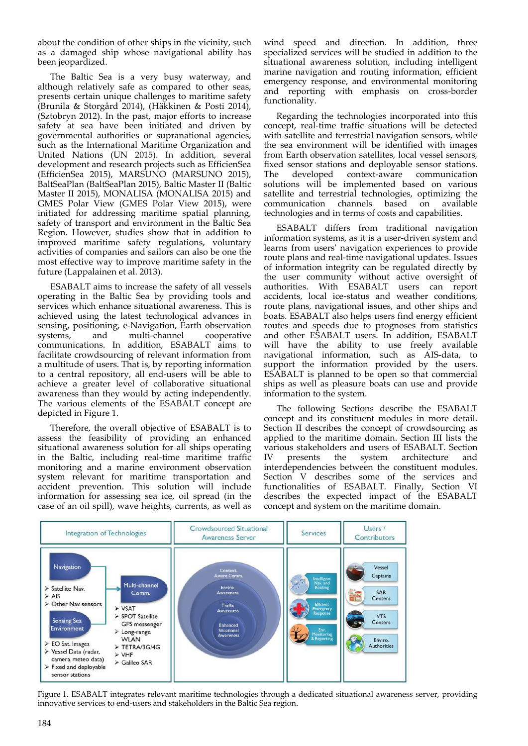about the condition of other ships in the vicinity, such as a damaged ship whose navigational ability has been jeopardized.

The Baltic Sea is a very busy waterway, and although relatively safe as compared to other seas, presents certain unique challenges to maritime safety (Brunila & Storgård 2014), (Häkkinen & Posti 2014), (Sztobryn 2012). In the past, major efforts to increase safety at sea have been initiated and driven by governmental authorities or supranational agencies, such as the International Maritime Organization and United Nations (UN 2015). In addition, several development and research projects such as EfficienSea (EfficienSea 2015), MARSUNO (MARSUNO 2015), BaltSeaPlan (BaltSeaPlan 2015), Baltic Master II (Baltic Master II 2015), MONALISA (MONALISA 2015) and GMES Polar View (GMES Polar View 2015), were initiated for addressing maritime spatial planning, safety of transport and environment in the Baltic Sea Region. However, studies show that in addition to improved maritime safety regulations, voluntary activities of companies and sailors can also be one the most effective way to improve maritime safety in the future (Lappalainen et al. 2013).

ESABALT aims to increase the safety of all vessels operating in the Baltic Sea by providing tools and services which enhance situational awareness. This is achieved using the latest technological advances in sensing, positioning, e‐Navigation, Earth observation systems, and multi-channel cooperative communications. In addition, ESABALT aims to facilitate crowdsourcing of relevant information from a multitude of users. That is, by reporting information to a central repository, all end‐users will be able to achieve a greater level of collaborative situational awareness than they would by acting independently. The various elements of the ESABALT concept are depicted in Figure 1.

Therefore, the overall objective of ESABALT is to assess the feasibility of providing an enhanced situational awareness solution for all ships operating in the Baltic, including real‐time maritime traffic monitoring and a marine environment observation system relevant for maritime transportation and accident prevention. This solution will include information for assessing sea ice, oil spread (in the case of an oil spill), wave heights, currents, as well as

wind speed and direction. In addition, three specialized services will be studied in addition to the situational awareness solution, including intelligent marine navigation and routing information, efficient emergency response, and environmental monitoring and reporting with emphasis on cross‐border functionality.

Regarding the technologies incorporated into this concept, real‐time traffic situations will be detected with satellite and terrestrial navigation sensors, while the sea environment will be identified with images from Earth observation satellites, local vessel sensors, fixed sensor stations and deployable sensor stations. The developed context-aware communication solutions will be implemented based on various satellite and terrestrial technologies, optimizing the communication channels based on available technologies and in terms of costs and capabilities.

ESABALT differs from traditional navigation information systems, as it is a user-driven system and learns from usersʹ navigation experiences to provide route plans and real‐time navigational updates. Issues of information integrity can be regulated directly by the user community without active oversight of authorities. With ESABALT users can report accidents, local ice‐status and weather conditions, route plans, navigational issues, and other ships and boats. ESABALT also helps users find energy efficient routes and speeds due to prognoses from statistics and other ESABALT users. In addition, ESABALT will have the ability to use freely available navigational information, such as AIS‐data, to support the information provided by the users. ESABALT is planned to be open so that commercial ships as well as pleasure boats can use and provide information to the system.

The following Sections describe the ESABALT concept and its constituent modules in more detail. Section II describes the concept of crowdsourcing as applied to the maritime domain. Section III lists the various stakeholders and users of ESABALT. Section<br>IV presents the system architecture and IV presents the system architecture and interdependencies between the constituent modules. Section V describes some of the services and functionalities of ESABALT. Finally, Section VI describes the expected impact of the ESABALT concept and system on the maritime domain.



Figure 1. ESABALT integrates relevant maritime technologies through a dedicated situational awareness server, providing innovative services to end‐users and stakeholders in the Baltic Sea region.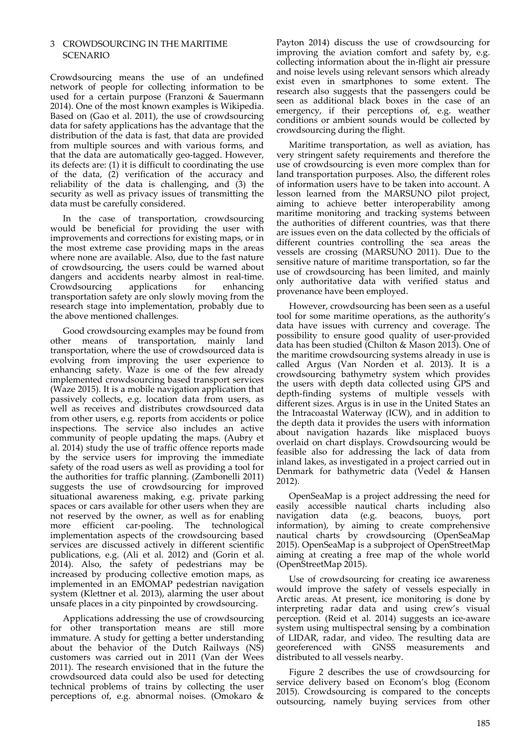## 3 CROWDSOURCING IN THE MARITIME SCENARIO

Crowdsourcing means the use of an undefined network of people for collecting information to be used for a certain purpose (Franzoni & Sauermann 2014). One of the most known examples is Wikipedia. Based on (Gao et al. 2011), the use of crowdsourcing data for safety applications has the advantage that the distribution of the data is fast, that data are provided from multiple sources and with various forms, and that the data are automatically geo‐tagged. However, its defects are: (1) it is difficult to coordinating the use of the data, (2) verification of the accuracy and reliability of the data is challenging, and (3) the security as well as privacy issues of transmitting the data must be carefully considered.

In the case of transportation, crowdsourcing would be beneficial for providing the user with improvements and corrections for existing maps, or in the most extreme case providing maps in the areas where none are available. Also, due to the fast nature of crowdsourcing, the users could be warned about dangers and accidents nearby almost in real-time.<br>Crowdsourcing applications for enhancing Crowdsourcing applications for enhancing transportation safety are only slowly moving from the research stage into implementation, probably due to the above mentioned challenges.

Good crowdsourcing examples may be found from other means of transportation, mainly land transportation, where the use of crowdsourced data is evolving from improving the user experience to enhancing safety. Waze is one of the few already implemented crowdsourcing based transport services (Waze 2015). It is a mobile navigation application that passively collects, e.g. location data from users, as well as receives and distributes crowdsourced data from other users, e.g. reports from accidents or police inspections. The service also includes an active community of people updating the maps. (Aubry et al. 2014) study the use of traffic offence reports made by the service users for improving the immediate safety of the road users as well as providing a tool for the authorities for traffic planning. (Zambonelli 2011) suggests the use of crowdsourcing for improved situational awareness making, e.g. private parking spaces or cars available for other users when they are not reserved by the owner, as well as for enabling more efficient car-pooling. The technological implementation aspects of the crowdsourcing based services are discussed actively in different scientific publications, e.g. (Ali et al. 2012) and (Gorin et al. 2014). Also, the safety of pedestrians may be increased by producing collective emotion maps, as implemented in an EMOMAP pedestrian navigation system (Klettner et al. 2013), alarming the user about unsafe places in a city pinpointed by crowdsourcing.

Applications addressing the use of crowdsourcing for other transportation means are still more immature. A study for getting a better understanding about the behavior of the Dutch Railways (NS) customers was carried out in 2011 (Van der Wees 2011). The research envisioned that in the future the crowdsourced data could also be used for detecting technical problems of trains by collecting the user perceptions of, e.g. abnormal noises. (Omokaro &

Payton 2014) discuss the use of crowdsourcing for improving the aviation comfort and safety by, e.g. collecting information about the in‐flight air pressure and noise levels using relevant sensors which already exist even in smartphones to some extent. The research also suggests that the passengers could be seen as additional black boxes in the case of an emergency, if their perceptions of, e.g. weather conditions or ambient sounds would be collected by crowdsourcing during the flight.

Maritime transportation, as well as aviation, has very stringent safety requirements and therefore the use of crowdsourcing is even more complex than for land transportation purposes. Also, the different roles of information users have to be taken into account. A lesson learned from the MARSUNO pilot project, aiming to achieve better interoperability among maritime monitoring and tracking systems between the authorities of different countries, was that there are issues even on the data collected by the officials of different countries controlling the sea areas the vessels are crossing (MARSUNO 2011). Due to the sensitive nature of maritime transportation, so far the use of crowdsourcing has been limited, and mainly only authoritative data with verified status and provenance have been employed.

However, crowdsourcing has been seen as a useful tool for some maritime operations, as the authority's data have issues with currency and coverage. The possibility to ensure good quality of user‐provided data has been studied (Chilton & Mason 2013). One of the maritime crowdsourcing systems already in use is called Argus (Van Norden et al. 2013). It is a crowdsourcing bathymetry system which provides the users with depth data collected using GPS and depth‐finding systems of multiple vessels with different sizes. Argus is in use in the United States an the Intracoastal Waterway (ICW), and in addition to the depth data it provides the users with information about navigation hazards like misplaced buoys overlaid on chart displays. Crowdsourcing would be feasible also for addressing the lack of data from inland lakes, as investigated in a project carried out in Denmark for bathymetric data (Vedel & Hansen 2012).

OpenSeaMap is a project addressing the need for easily accessible nautical charts including also navigation data (e.g. beacons, buoys, port information), by aiming to create comprehensive nautical charts by crowdsourcing (OpenSeaMap 2015). OpenSeaMap is a subproject of OpenStreetMap aiming at creating a free map of the whole world (OpenStreetMap 2015).

Use of crowdsourcing for creating ice awareness would improve the safety of vessels especially in Arctic areas. At present, ice monitoring is done by interpreting radar data and using crew's visual perception. (Reid et al. 2014) suggests an ice-aware system using multispectral sensing by a combination of LIDAR, radar, and video. The resulting data are georeferenced with GNSS measurements and distributed to all vessels nearby.

Figure 2 describes the use of crowdsourcing for service delivery based on Econom's blog (Econom 2015). Crowdsourcing is compared to the concepts outsourcing, namely buying services from other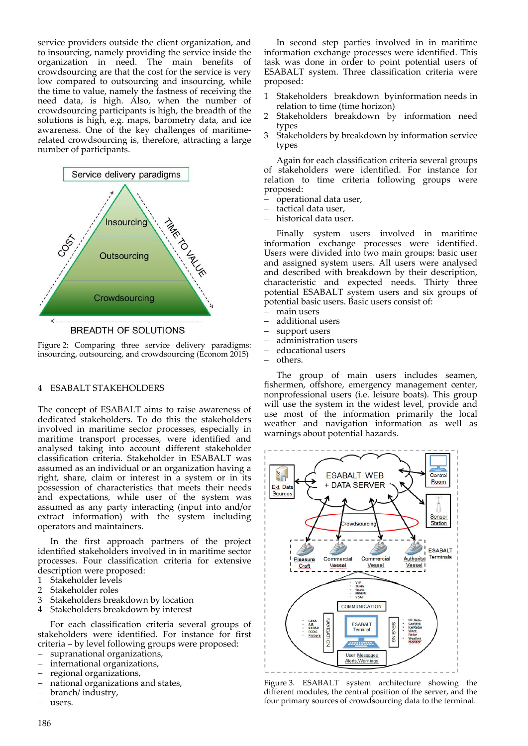service providers outside the client organization, and to insourcing, namely providing the service inside the organization in need. The main benefits of crowdsourcing are that the cost for the service is very low compared to outsourcing and insourcing, while the time to value, namely the fastness of receiving the need data, is high. Also, when the number of crowdsourcing participants is high, the breadth of the solutions is high, e.g. maps, barometry data, and ice awareness. One of the key challenges of maritimerelated crowdsourcing is, therefore, attracting a large number of participants.



Figure 2: Comparing three service delivery paradigms: insourcing, outsourcing, and crowdsourcing (Econom 2015)

## 4 ESABALT STAKEHOLDERS

The concept of ESABALT aims to raise awareness of dedicated stakeholders. To do this the stakeholders involved in maritime sector processes, especially in maritime transport processes, were identified and analysed taking into account different stakeholder classification criteria. Stakeholder in ESABALT was assumed as an individual or an organization having a right, share, claim or interest in a system or in its possession of characteristics that meets their needs and expectations, while user of the system was assumed as any party interacting (input into and/or extract information) with the system including operators and maintainers.

In the first approach partners of the project identified stakeholders involved in in maritime sector processes. Four classification criteria for extensive description were proposed:

- 1 Stakeholder levels
- 2 Stakeholder roles<br>3 Stakeholders brea
- Stakeholders breakdown by location
- 4 Stakeholders breakdown by interest

For each classification criteria several groups of stakeholders were identified. For instance for first criteria – by level following groups were proposed:

- supranational organizations,<br>– international organizations
- international organizations,
- regional organizations,
- national organizations and states,
- branch/ industry,
- users.

In second step parties involved in in maritime information exchange processes were identified. This task was done in order to point potential users of ESABALT system. Three classification criteria were proposed:

- Stakeholders breakdown byinformation needs in relation to time (time horizon)
- 2 Stakeholders breakdown by information need types
- 3 Stakeholders by breakdown by information service types

Again for each classification criteria several groups of stakeholders were identified. For instance for relation to time criteria following groups were proposed:

- operational data user,
- tactical data user,
- historical data user.

Finally system users involved in maritime information exchange processes were identified. Users were divided into two main groups: basic user and assigned system users. All users were analysed and described with breakdown by their description, characteristic and expected needs. Thirty three potential ESABALT system users and six groups of potential basic users. Basic users consist of:

- main users
- additional users
- support users
- administration users
- educational users
- others.

The group of main users includes seamen, fishermen, offshore, emergency management center, nonprofessional users (i.e. leisure boats). This group will use the system in the widest level, provide and use most of the information primarily the local weather and navigation information as well as warnings about potential hazards.



Figure 3. ESABALT system architecture showing the different modules, the central position of the server, and the four primary sources of crowdsourcing data to the terminal.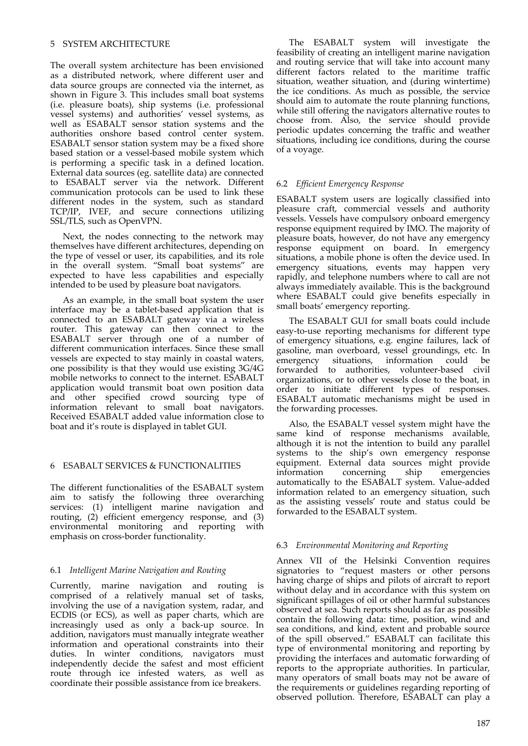# 5 SYSTEM ARCHITECTURE

The overall system architecture has been envisioned as a distributed network, where different user and data source groups are connected via the internet, as shown in Figure 3. This includes small boat systems (i.e. pleasure boats), ship systems (i.e. professional vessel systems) and authorities' vessel systems, as well as ESABALT sensor station systems and the authorities onshore based control center system. ESABALT sensor station system may be a fixed shore based station or a vessel‐based mobile system which is performing a specific task in a defined location. External data sources (eg. satellite data) are connected to ESABALT server via the network. Different communication protocols can be used to link these different nodes in the system, such as standard TCP/IP, IVEF, and secure connections utilizing SSL/TLS, such as OpenVPN.

Next, the nodes connecting to the network may themselves have different architectures, depending on the type of vessel or user, its capabilities, and its role in the overall system. "Small boat systems" are expected to have less capabilities and especially intended to be used by pleasure boat navigators.

As an example, in the small boat system the user interface may be a tablet‐based application that is connected to an ESABALT gateway via a wireless router. This gateway can then connect to the ESABALT server through one of a number of different communication interfaces. Since these small vessels are expected to stay mainly in coastal waters, one possibility is that they would use existing 3G/4G mobile networks to connect to the internet. ESABALT application would transmit boat own position data and other specified crowd sourcing type of information relevant to small boat navigators. Received ESABALT added value information close to boat and it's route is displayed in tablet GUI.

## 6 ESABALT SERVICES & FUNCTIONALITIES

The different functionalities of the ESABALT system aim to satisfy the following three overarching services: (1) intelligent marine navigation and routing, (2) efficient emergency response, and (3) environmental monitoring and reporting with emphasis on cross‐border functionality.

#### 6.1 *Intelligent Marine Navigation and Routing*

Currently, marine navigation and routing is comprised of a relatively manual set of tasks, involving the use of a navigation system, radar, and ECDIS (or ECS), as well as paper charts, which are increasingly used as only a back-up source. In addition, navigators must manually integrate weather information and operational constraints into their duties. In winter conditions, navigators must independently decide the safest and most efficient route through ice infested waters, as well as coordinate their possible assistance from ice breakers.

The ESABALT system will investigate the feasibility of creating an intelligent marine navigation and routing service that will take into account many different factors related to the maritime traffic situation, weather situation, and (during wintertime) the ice conditions. As much as possible, the service should aim to automate the route planning functions, while still offering the navigators alternative routes to choose from. Also, the service should provide periodic updates concerning the traffic and weather situations, including ice conditions, during the course of a voyage.

#### 6.2 *Efficient Emergency Response*

ESABALT system users are logically classified into pleasure craft, commercial vessels and authority vessels. Vessels have compulsory onboard emergency response equipment required by IMO. The majority of pleasure boats, however, do not have any emergency response equipment on board. In emergency situations, a mobile phone is often the device used. In emergency situations, events may happen very rapidly, and telephone numbers where to call are not always immediately available. This is the background where ESABALT could give benefits especially in small boats' emergency reporting.

The ESABALT GUI for small boats could include easy‐to‐use reporting mechanisms for different type of emergency situations, e.g. engine failures, lack of gasoline, man overboard, vessel groundings, etc. In emergency situations, information could be forwarded to authorities, volunteer-based civil organizations, or to other vessels close to the boat, in order to initiate different types of responses. ESABALT automatic mechanisms might be used in the forwarding processes.

Also, the ESABALT vessel system might have the same kind of response mechanisms available, although it is not the intention to build any parallel systems to the ship's own emergency response equipment. External data sources might provide information concerning ship emergencies concerning ship emergencies automatically to the ESABALT system. Value‐added information related to an emergency situation, such as the assisting vessels' route and status could be forwarded to the ESABALT system.

## 6.3 *Environmental Monitoring and Reporting*

Annex VII of the Helsinki Convention requires signatories to "request masters or other persons having charge of ships and pilots of aircraft to report without delay and in accordance with this system on significant spillages of oil or other harmful substances observed at sea. Such reports should as far as possible contain the following data: time, position, wind and sea conditions, and kind, extent and probable source of the spill observed." ESABALT can facilitate this type of environmental monitoring and reporting by providing the interfaces and automatic forwarding of reports to the appropriate authorities. In particular, many operators of small boats may not be aware of the requirements or guidelines regarding reporting of observed pollution. Therefore, ESABALT can play a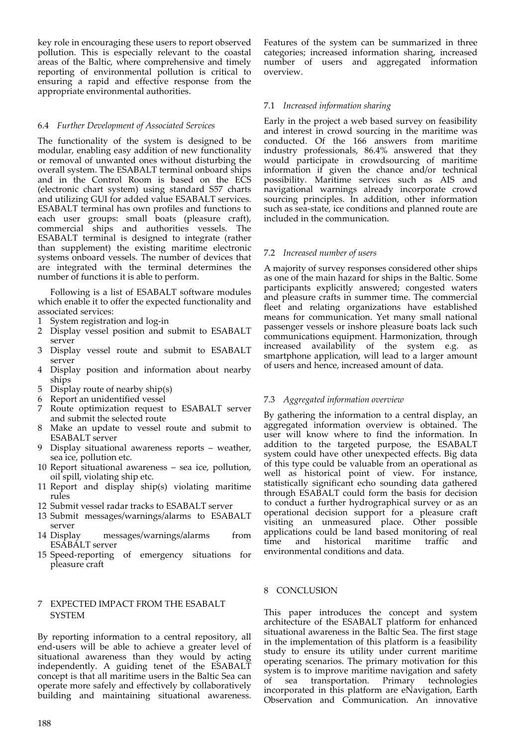key role in encouraging these users to report observed pollution. This is especially relevant to the coastal areas of the Baltic, where comprehensive and timely reporting of environmental pollution is critical to ensuring a rapid and effective response from the appropriate environmental authorities.

## 6.4 *Further Development of Associated Services*

The functionality of the system is designed to be modular, enabling easy addition of new functionality or removal of unwanted ones without disturbing the overall system. The ESABALT terminal onboard ships and in the Control Room is based on the ECS (electronic chart system) using standard S57 charts and utilizing GUI for added value ESABALT services. ESABALT terminal has own profiles and functions to each user groups: small boats (pleasure craft), commercial ships and authorities vessels. The ESABALT terminal is designed to integrate (rather than supplement) the existing maritime electronic systems onboard vessels. The number of devices that are integrated with the terminal determines the number of functions it is able to perform.

Following is a list of ESABALT software modules which enable it to offer the expected functionality and associated services:

- 1 System registration and log‐in
- 2 Display vessel position and submit to ESABALT server
- 3 Display vessel route and submit to ESABALT server
- 4 Display position and information about nearby ships
- 5 Display route of nearby ship(s)
- 6 Report an unidentified vessel
- 7 Route optimization request to ESABALT server and submit the selected route
- 8 Make an update to vessel route and submit to ESABALT server
- 9 Display situational awareness reports weather, sea ice, pollution etc.
- 10 Report situational awareness sea ice, pollution, oil spill, violating ship etc.
- 11 Report and display ship(s) violating maritime rules
- 12 Submit vessel radar tracks to ESABALT server
- 13 Submit messages/warnings/alarms to ESABALT server
- 14 Display messages/warnings/alarms from ESABALT server
- 15 Speed‐reporting of emergency situations for pleasure craft

## 7 EXPECTED IMPACT FROM THE ESABALT SYSTEM

By reporting information to a central repository, all end‐users will be able to achieve a greater level of situational awareness than they would by acting independently. A guiding tenet of the ESABALT concept is that all maritime users in the Baltic Sea can operate more safely and effectively by collaboratively building and maintaining situational awareness.

Features of the system can be summarized in three categories; increased information sharing, increased number of users and aggregated information overview.

## 7.1 *Increased information sharing*

Early in the project a web based survey on feasibility and interest in crowd sourcing in the maritime was conducted. Of the 166 answers from maritime industry professionals, 86.4% answered that they would participate in crowdsourcing of maritime information if given the chance and/or technical possibility. Maritime services such as AIS and navigational warnings already incorporate crowd sourcing principles. In addition, other information such as sea-state, ice conditions and planned route are included in the communication.

# 7.2 *Increased number of users*

A majority of survey responses considered other ships as one of the main hazard for ships in the Baltic. Some participants explicitly answered; congested waters and pleasure crafts in summer time. The commercial fleet and relating organizations have established means for communication. Yet many small national passenger vessels or inshore pleasure boats lack such communications equipment. Harmonization, through increased availability of the system e.g. as smartphone application, will lead to a larger amount of users and hence, increased amount of data.

# 7.3 *Aggregated information overview*

By gathering the information to a central display, an aggregated information overview is obtained. The user will know where to find the information. In addition to the targeted purpose, the ESABALT system could have other unexpected effects. Big data of this type could be valuable from an operational as well as historical point of view. For instance, statistically significant echo sounding data gathered through ESABALT could form the basis for decision to conduct a further hydrographical survey or as an operational decision support for a pleasure craft visiting an unmeasured place. Other possible applications could be land based monitoring of real time and historical maritime traffic and environmental conditions and data.

# 8 CONCLUSION

This paper introduces the concept and system architecture of the ESABALT platform for enhanced situational awareness in the Baltic Sea. The first stage in the implementation of this platform is a feasibility study to ensure its utility under current maritime operating scenarios. The primary motivation for this system is to improve maritime navigation and safety of sea transportation. Primary technologies incorporated in this platform are eNavigation, Earth Observation and Communication. An innovative